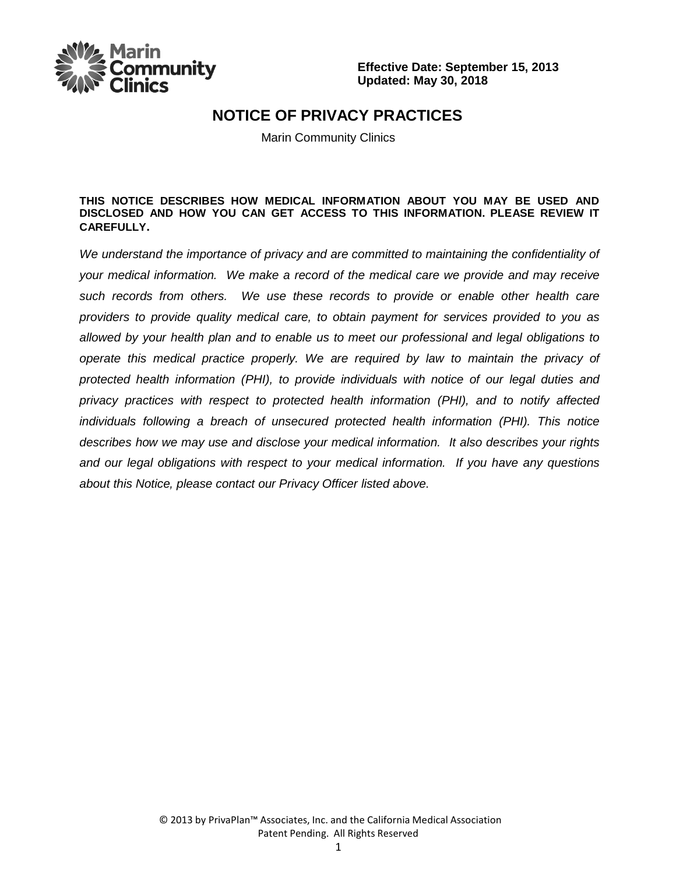

### **NOTICE OF PRIVACY PRACTICES**

Marin Community Clinics

#### **THIS NOTICE DESCRIBES HOW MEDICAL INFORMATION ABOUT YOU MAY BE USED AND DISCLOSED AND HOW YOU CAN GET ACCESS TO THIS INFORMATION. PLEASE REVIEW IT CAREFULLY.**

*We understand the importance of privacy and are committed to maintaining the confidentiality of your medical information. We make a record of the medical care we provide and may receive such records from others. We use these records to provide or enable other health care providers to provide quality medical care, to obtain payment for services provided to you as allowed by your health plan and to enable us to meet our professional and legal obligations to operate this medical practice properly. We are required by law to maintain the privacy of protected health information (PHI), to provide individuals with notice of our legal duties and privacy practices with respect to protected health information (PHI), and to notify affected individuals following a breach of unsecured protected health information (PHI). This notice describes how we may use and disclose your medical information. It also describes your rights and our legal obligations with respect to your medical information. If you have any questions about this Notice, please contact our Privacy Officer listed above.*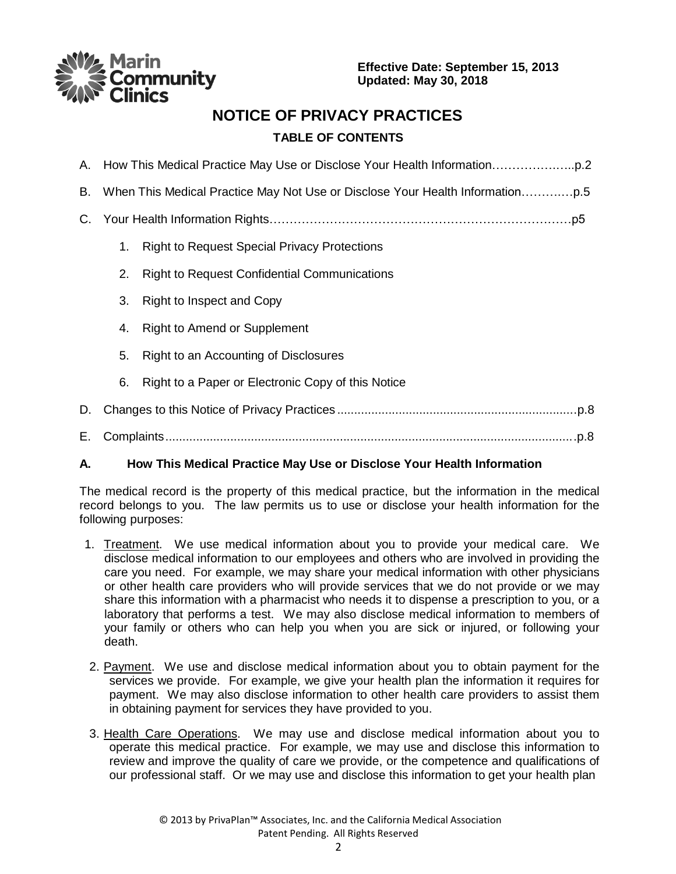nmunity

**Effective Date: September 15, 2013 Updated: May 30, 2018**

## **NOTICE OF PRIVACY PRACTICES**

### **TABLE OF CONTENTS**

| В. |    |                                                     |
|----|----|-----------------------------------------------------|
| C. |    |                                                     |
|    | 1. | <b>Right to Request Special Privacy Protections</b> |
|    | 2. | <b>Right to Request Confidential Communications</b> |
|    | 3. | Right to Inspect and Copy                           |
|    | 4. | Right to Amend or Supplement                        |
|    | 5. | Right to an Accounting of Disclosures               |
|    | 6. | Right to a Paper or Electronic Copy of this Notice  |
| D. |    |                                                     |
| Е. |    |                                                     |

### **A. How This Medical Practice May Use or Disclose Your Health Information**

The medical record is the property of this medical practice, but the information in the medical record belongs to you. The law permits us to use or disclose your health information for the following purposes:

- 1. Treatment. We use medical information about you to provide your medical care. We disclose medical information to our employees and others who are involved in providing the care you need. For example, we may share your medical information with other physicians or other health care providers who will provide services that we do not provide or we may share this information with a pharmacist who needs it to dispense a prescription to you, or a laboratory that performs a test. We may also disclose medical information to members of your family or others who can help you when you are sick or injured, or following your death.
- 2. Payment. We use and disclose medical information about you to obtain payment for the services we provide. For example, we give your health plan the information it requires for payment. We may also disclose information to other health care providers to assist them in obtaining payment for services they have provided to you.
- 3. Health Care Operations. We may use and disclose medical information about you to operate this medical practice. For example, we may use and disclose this information to review and improve the quality of care we provide, or the competence and qualifications of our professional staff. Or we may use and disclose this information to get your health plan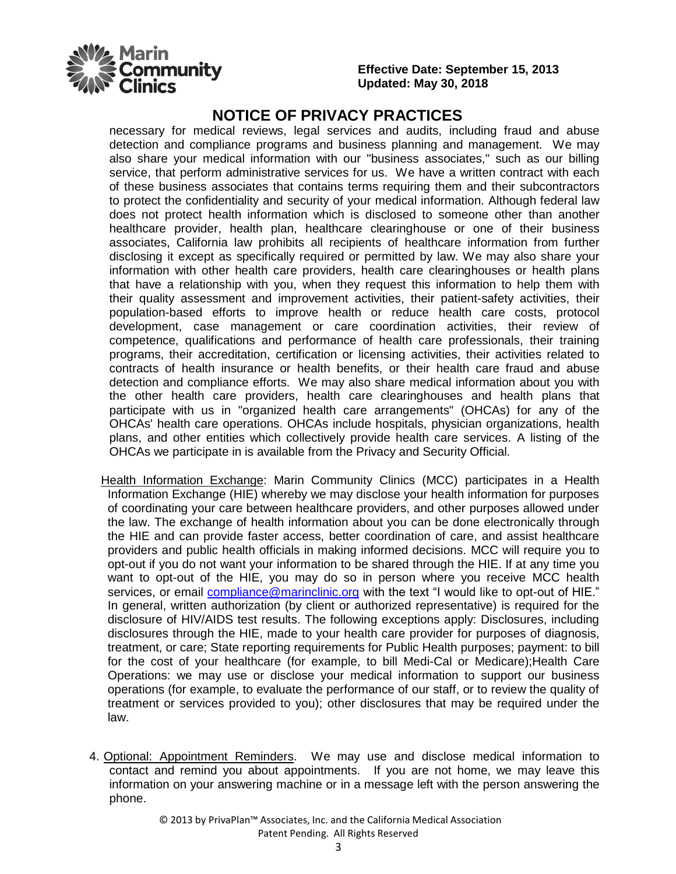

### **NOTICE OF PRIVACY PRACTICES**

necessary for medical reviews, legal services and audits, including fraud and abuse detection and compliance programs and business planning and management. We may also share your medical information with our "business associates," such as our billing service, that perform administrative services for us. We have a written contract with each of these business associates that contains terms requiring them and their subcontractors to protect the confidentiality and security of your medical information. Although federal law does not protect health information which is disclosed to someone other than another healthcare provider, health plan, healthcare clearinghouse or one of their business associates, California law prohibits all recipients of healthcare information from further disclosing it except as specifically required or permitted by law. We may also share your information with other health care providers, health care clearinghouses or health plans that have a relationship with you, when they request this information to help them with their quality assessment and improvement activities, their patient-safety activities, their population-based efforts to improve health or reduce health care costs, protocol development, case management or care coordination activities, their review of competence, qualifications and performance of health care professionals, their training programs, their accreditation, certification or licensing activities, their activities related to contracts of health insurance or health benefits, or their health care fraud and abuse detection and compliance efforts. We may also share medical information about you with the other health care providers, health care clearinghouses and health plans that participate with us in "organized health care arrangements" (OHCAs) for any of the OHCAs' health care operations. OHCAs include hospitals, physician organizations, health plans, and other entities which collectively provide health care services. A listing of the OHCAs we participate in is available from the Privacy and Security Official.

- Health Information Exchange: Marin Community Clinics (MCC) participates in a Health Information Exchange (HIE) whereby we may disclose your health information for purposes of coordinating your care between healthcare providers, and other purposes allowed under the law. The exchange of health information about you can be done electronically through the HIE and can provide faster access, better coordination of care, and assist healthcare providers and public health officials in making informed decisions. MCC will require you to opt-out if you do not want your information to be shared through the HIE. If at any time you want to opt-out of the HIE, you may do so in person where you receive MCC health services, or email [compliance@marinclinic.org](mailto:compliance@marinclinic.org) with the text "I would like to opt-out of HIE." In general, written authorization (by client or authorized representative) is required for the disclosure of HIV/AIDS test results. The following exceptions apply: Disclosures, including disclosures through the HIE, made to your health care provider for purposes of diagnosis, treatment, or care; State reporting requirements for Public Health purposes; payment: to bill for the cost of your healthcare (for example, to bill Medi-Cal or Medicare); Health Care Operations: we may use or disclose your medical information to support our business operations (for example, to evaluate the performance of our staff, or to review the quality of treatment or services provided to you); other disclosures that may be required under the law.
- 4. Optional: Appointment Reminders. We may use and disclose medical information to contact and remind you about appointments. If you are not home, we may leave this information on your answering machine or in a message left with the person answering the phone.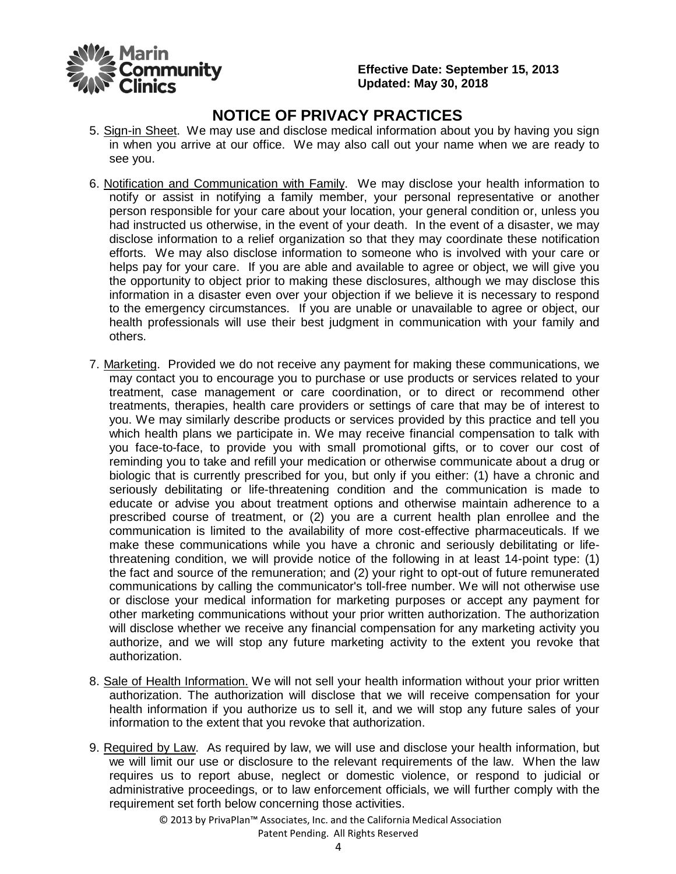

# **NOTICE OF PRIVACY PRACTICES**

- 5. Sign-in Sheet. We may use and disclose medical information about you by having you sign in when you arrive at our office. We may also call out your name when we are ready to see you.
- 6. Notification and Communication with Family. We may disclose your health information to notify or assist in notifying a family member, your personal representative or another person responsible for your care about your location, your general condition or, unless you had instructed us otherwise, in the event of your death. In the event of a disaster, we may disclose information to a relief organization so that they may coordinate these notification efforts. We may also disclose information to someone who is involved with your care or helps pay for your care. If you are able and available to agree or object, we will give you the opportunity to object prior to making these disclosures, although we may disclose this information in a disaster even over your objection if we believe it is necessary to respond to the emergency circumstances. If you are unable or unavailable to agree or object, our health professionals will use their best judgment in communication with your family and others.
- 7. Marketing. Provided we do not receive any payment for making these communications, we may contact you to encourage you to purchase or use products or services related to your treatment, case management or care coordination, or to direct or recommend other treatments, therapies, health care providers or settings of care that may be of interest to you. We may similarly describe products or services provided by this practice and tell you which health plans we participate in. We may receive financial compensation to talk with you face-to-face, to provide you with small promotional gifts, or to cover our cost of reminding you to take and refill your medication or otherwise communicate about a drug or biologic that is currently prescribed for you, but only if you either: (1) have a chronic and seriously debilitating or life-threatening condition and the communication is made to educate or advise you about treatment options and otherwise maintain adherence to a prescribed course of treatment, or (2) you are a current health plan enrollee and the communication is limited to the availability of more cost-effective pharmaceuticals. If we make these communications while you have a chronic and seriously debilitating or lifethreatening condition, we will provide notice of the following in at least 14-point type: (1) the fact and source of the remuneration; and (2) your right to opt-out of future remunerated communications by calling the communicator's toll-free number. We will not otherwise use or disclose your medical information for marketing purposes or accept any payment for other marketing communications without your prior written authorization. The authorization will disclose whether we receive any financial compensation for any marketing activity you authorize, and we will stop any future marketing activity to the extent you revoke that authorization.
- 8. Sale of Health Information. We will not sell your health information without your prior written authorization. The authorization will disclose that we will receive compensation for your health information if you authorize us to sell it, and we will stop any future sales of your information to the extent that you revoke that authorization.
- 9. Required by Law. As required by law, we will use and disclose your health information, but we will limit our use or disclosure to the relevant requirements of the law. When the law requires us to report abuse, neglect or domestic violence, or respond to judicial or administrative proceedings, or to law enforcement officials, we will further comply with the requirement set forth below concerning those activities.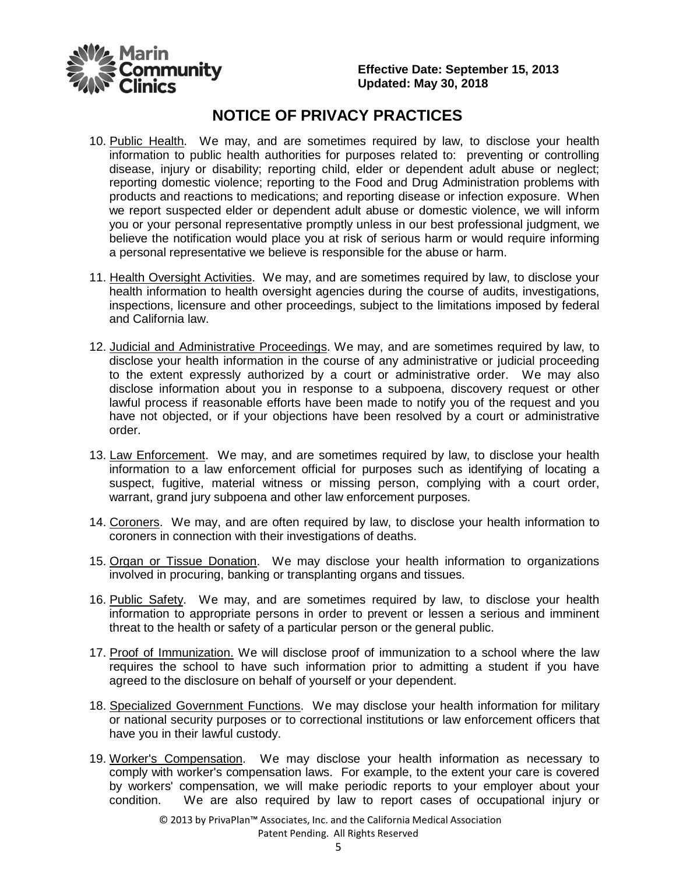

## **NOTICE OF PRIVACY PRACTICES**

- 10. Public Health. We may, and are sometimes required by law, to disclose your health information to public health authorities for purposes related to: preventing or controlling disease, injury or disability; reporting child, elder or dependent adult abuse or neglect; reporting domestic violence; reporting to the Food and Drug Administration problems with products and reactions to medications; and reporting disease or infection exposure. When we report suspected elder or dependent adult abuse or domestic violence, we will inform you or your personal representative promptly unless in our best professional judgment, we believe the notification would place you at risk of serious harm or would require informing a personal representative we believe is responsible for the abuse or harm.
- 11. Health Oversight Activities. We may, and are sometimes required by law, to disclose your health information to health oversight agencies during the course of audits, investigations, inspections, licensure and other proceedings, subject to the limitations imposed by federal and California law.
- 12. Judicial and Administrative Proceedings. We may, and are sometimes required by law, to disclose your health information in the course of any administrative or judicial proceeding to the extent expressly authorized by a court or administrative order. We may also disclose information about you in response to a subpoena, discovery request or other lawful process if reasonable efforts have been made to notify you of the request and you have not objected, or if your objections have been resolved by a court or administrative order.
- 13. Law Enforcement. We may, and are sometimes required by law, to disclose your health information to a law enforcement official for purposes such as identifying of locating a suspect, fugitive, material witness or missing person, complying with a court order, warrant, grand jury subpoena and other law enforcement purposes.
- 14. Coroners. We may, and are often required by law, to disclose your health information to coroners in connection with their investigations of deaths.
- 15. Organ or Tissue Donation. We may disclose your health information to organizations involved in procuring, banking or transplanting organs and tissues.
- 16. Public Safety. We may, and are sometimes required by law, to disclose your health information to appropriate persons in order to prevent or lessen a serious and imminent threat to the health or safety of a particular person or the general public.
- 17. Proof of Immunization. We will disclose proof of immunization to a school where the law requires the school to have such information prior to admitting a student if you have agreed to the disclosure on behalf of yourself or your dependent.
- 18. Specialized Government Functions. We may disclose your health information for military or national security purposes or to correctional institutions or law enforcement officers that have you in their lawful custody.
- 19. Worker's Compensation. We may disclose your health information as necessary to comply with worker's compensation laws. For example, to the extent your care is covered by workers' compensation, we will make periodic reports to your employer about your condition. We are also required by law to report cases of occupational injury or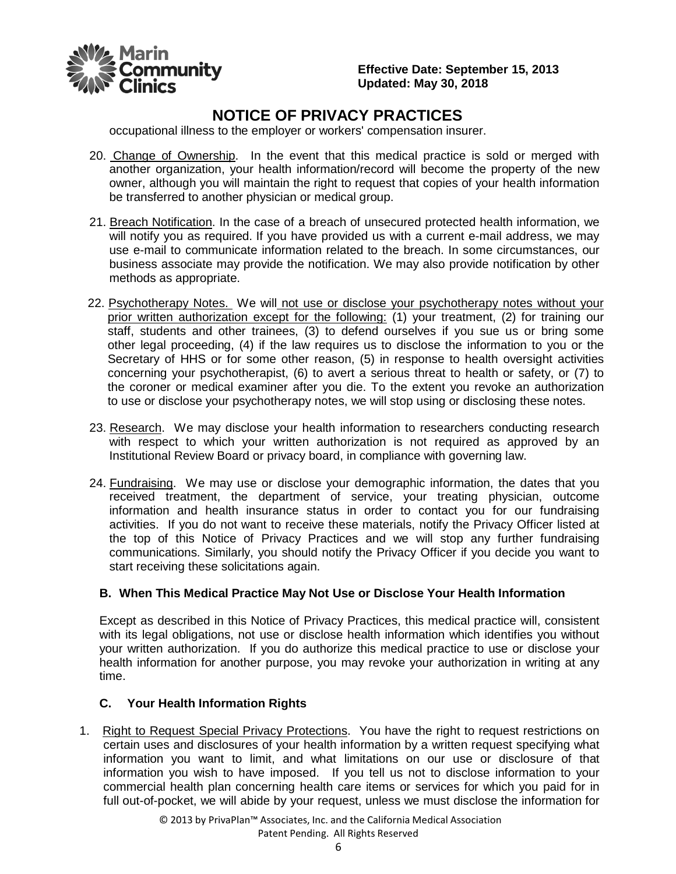

# **NOTICE OF PRIVACY PRACTICES**

occupational illness to the employer or workers' compensation insurer.

- 20. Change of Ownership. In the event that this medical practice is sold or merged with another organization, your health information/record will become the property of the new owner, although you will maintain the right to request that copies of your health information be transferred to another physician or medical group.
- 21. Breach Notification. In the case of a breach of unsecured protected health information, we will notify you as required. If you have provided us with a current e-mail address, we may use e-mail to communicate information related to the breach. In some circumstances, our business associate may provide the notification. We may also provide notification by other methods as appropriate.
- 22. Psychotherapy Notes. We will not use or disclose your psychotherapy notes without your prior written authorization except for the following: (1) your treatment, (2) for training our staff, students and other trainees, (3) to defend ourselves if you sue us or bring some other legal proceeding, (4) if the law requires us to disclose the information to you or the Secretary of HHS or for some other reason, (5) in response to health oversight activities concerning your psychotherapist, (6) to avert a serious threat to health or safety, or (7) to the coroner or medical examiner after you die. To the extent you revoke an authorization to use or disclose your psychotherapy notes, we will stop using or disclosing these notes.
- 23. Research. We may disclose your health information to researchers conducting research with respect to which your written authorization is not required as approved by an Institutional Review Board or privacy board, in compliance with governing law.
- 24. Fundraising. We may use or disclose your demographic information, the dates that you received treatment, the department of service, your treating physician, outcome information and health insurance status in order to contact you for our fundraising activities. If you do not want to receive these materials, notify the Privacy Officer listed at the top of this Notice of Privacy Practices and we will stop any further fundraising communications. Similarly, you should notify the Privacy Officer if you decide you want to start receiving these solicitations again.

#### **B. When This Medical Practice May Not Use or Disclose Your Health Information**

Except as described in this Notice of Privacy Practices, this medical practice will, consistent with its legal obligations, not use or disclose health information which identifies you without your written authorization. If you do authorize this medical practice to use or disclose your health information for another purpose, you may revoke your authorization in writing at any time.

#### **C. Your Health Information Rights**

1. Right to Request Special Privacy Protections. You have the right to request restrictions on certain uses and disclosures of your health information by a written request specifying what information you want to limit, and what limitations on our use or disclosure of that information you wish to have imposed. If you tell us not to disclose information to your commercial health plan concerning health care items or services for which you paid for in full out-of-pocket, we will abide by your request, unless we must disclose the information for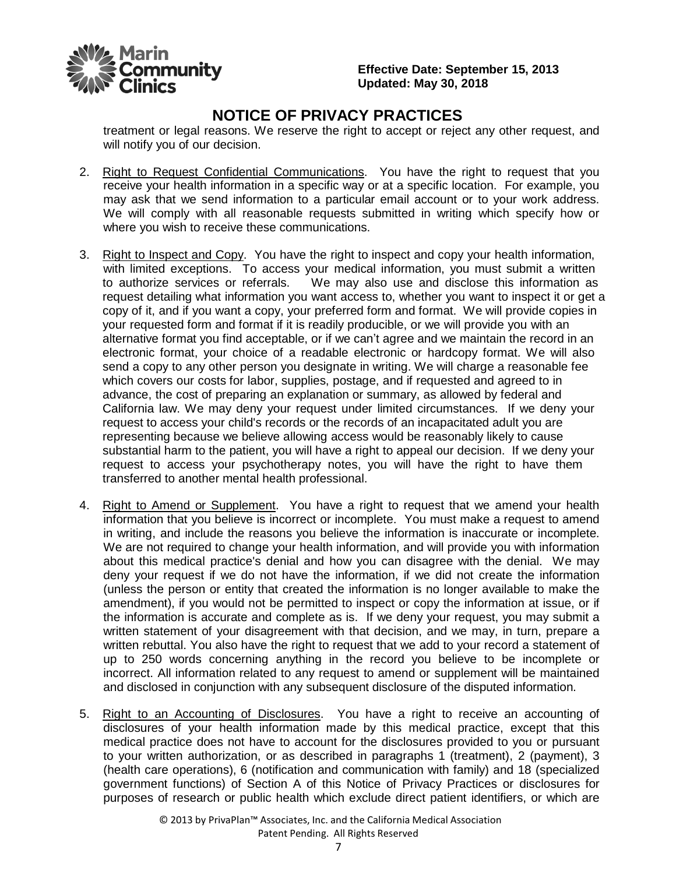

## **NOTICE OF PRIVACY PRACTICES**

treatment or legal reasons. We reserve the right to accept or reject any other request, and will notify you of our decision.

- 2. Right to Request Confidential Communications. You have the right to request that you receive your health information in a specific way or at a specific location. For example, you may ask that we send information to a particular email account or to your work address. We will comply with all reasonable requests submitted in writing which specify how or where you wish to receive these communications.
- 3. Right to Inspect and Copy. You have the right to inspect and copy your health information, with limited exceptions. To access your medical information, you must submit a written to authorize services or referrals. We may also use and disclose this information as request detailing what information you want access to, whether you want to inspect it or get a copy of it, and if you want a copy, your preferred form and format. We will provide copies in your requested form and format if it is readily producible, or we will provide you with an alternative format you find acceptable, or if we can't agree and we maintain the record in an electronic format, your choice of a readable electronic or hardcopy format. We will also send a copy to any other person you designate in writing. We will charge a reasonable fee which covers our costs for labor, supplies, postage, and if requested and agreed to in advance, the cost of preparing an explanation or summary, as allowed by federal and California law. We may deny your request under limited circumstances. If we deny your request to access your child's records or the records of an incapacitated adult you are representing because we believe allowing access would be reasonably likely to cause substantial harm to the patient, you will have a right to appeal our decision. If we deny your request to access your psychotherapy notes, you will have the right to have them transferred to another mental health professional.
- 4. Right to Amend or Supplement. You have a right to request that we amend your health information that you believe is incorrect or incomplete. You must make a request to amend in writing, and include the reasons you believe the information is inaccurate or incomplete. We are not required to change your health information, and will provide you with information about this medical practice's denial and how you can disagree with the denial. We may deny your request if we do not have the information, if we did not create the information (unless the person or entity that created the information is no longer available to make the amendment), if you would not be permitted to inspect or copy the information at issue, or if the information is accurate and complete as is. If we deny your request, you may submit a written statement of your disagreement with that decision, and we may, in turn, prepare a written rebuttal. You also have the right to request that we add to your record a statement of up to 250 words concerning anything in the record you believe to be incomplete or incorrect. All information related to any request to amend or supplement will be maintained and disclosed in conjunction with any subsequent disclosure of the disputed information.
- 5. Right to an Accounting of Disclosures. You have a right to receive an accounting of disclosures of your health information made by this medical practice, except that this medical practice does not have to account for the disclosures provided to you or pursuant to your written authorization, or as described in paragraphs 1 (treatment), 2 (payment), 3 (health care operations), 6 (notification and communication with family) and 18 (specialized government functions) of Section A of this Notice of Privacy Practices or disclosures for purposes of research or public health which exclude direct patient identifiers, or which are